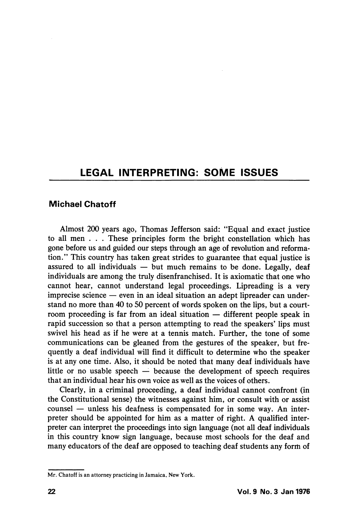## LEGAL INTERPRETING: SOME ISSUES

## Michael Chatoff

Almost 200 years ago, Thomas Jefferson said: "Equal and exact justice to all men . . . These principles form the bright constellation which has gone before us and guided our steps through an age of revolution and reforma tion." This country has taken great strides to guarantee that equal justice is assured to all individuals  $-$  but much remains to be done. Legally, deaf individuals are among the truly disenfranchised. It is axiomatic that one who cannot hear, cannot understand legal proceedings. Lipreading is a very imprecise science — even in an ideal situation an adept lipreader can under stand no more than 40 to 50 percent of words spoken on the lips, but a court room proceeding is far from an ideal situation — different people speak in rapid succession so that a person attempting to read the speakers' lips must swivel his head as if he were at a tennis match. Further, the tone of some communications can be gleaned from the gestures of the speaker, but fre quently a deaf individual will find it difficult to determine who the speaker is at any one time. Also, it should be noted that many deaf individuals have little or no usable speech — because the development of speech requires that an individual hear his own voice as well as the voices of others.

Clearly, in a criminal proceeding, a deaf individual cannot confront (in the Constitutional sense) the witnesses against him, or consult with or assist counsel — unless his deafness is compensated for in some way. An inter preter should be appointed for him as a matter of right. A qualified inter preter can interpret the proceedings into sign language (not all deaf individuals in this country know sign language, because most schools for the deaf and many educators of the deaf are opposed to teaching deaf students any form of

Mr. Chatoff is an attorney practicing in Jamaica, New York.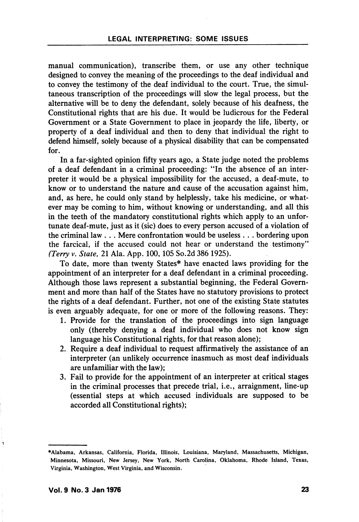manual communication), transcribe them, or use any other technique designed to convey the meaning of the proceedings to the deaf individual and to convey the testimony of the deaf individual to the court. True, the simul taneous transcription of the proceedings will slow the legal process, but the alternative will be to deny the defendant, solely because of his deafness, the Constitutional rights that are his due. It would be ludicrous for the Federal Government or a State Government to place in jeopardy the life, liberty, or property of a deaf individual and then to deny that individual the right to defend himself, solely because of a physical disability that can be compensated for.

In a far-sighted opinion fifty years ago, a State judge noted the problems of a deaf defendant in a criminal proceeding: "In the absence of an inter preter it would be a physical impossibility for the accused, a deaf-mute, to know or to understand the nature and cause of the accusation against him, and, as here, he could only stand by helplessly, take his medicine, or what ever may be coming to him, without knowing or understanding, and all this in the teeth of the mandatory constitutional rights which apply to an unfor tunate deaf-mute, just as it (sic) does to every person accused of a violation of the criminal law . . . Mere confrontation would be useless . . . bordering upon the farcical, if the accused could not hear or understand the testimony" (Terry v. State, 21 Ala. App. 100,105 So.2d 386 1925).

To date, more than twenty States\* have enacted laws providing for the appointment of an interpreter for a deaf defendant in a criminal proceeding. Although those laws represent a substantial beginning, the Federal Govern ment and more than half of the States have no statutory provisions to protect the rights of a deaf defendant. Further, not one of the existing State statutes is even arguably adequate, for one or more of the following reasons. They:

- 1. Provide for the translation of the proceedings into sign language only (thereby denying a deaf individual who does not know sign language his Constitutional rights, for that reason alone);
- 2. Require a deaf individual to request affirmatively the assistance of an interpreter (an unlikely occurrence inasmuch as most deaf individuals are unfamiliar with the law);
- 3. Fail to provide for the appointment of an interpreter at critical stages in the criminal processes that precede trial, i.e., arraignment, line-up (essential steps at which accused individuals are supposed to be accorded all Constitutional rights);

ำ

<sup>♦</sup>Alabama, Arkansas, California, Florida, Illinois, Louisiana, Maryland, Massachusetts, Michigan, Minnesota, Missouri, New Jersey, New York, North Carolina, Oklahoma, Rhode Island, Texas, Virginia, Washington, West Virginia, and Wisconsin.